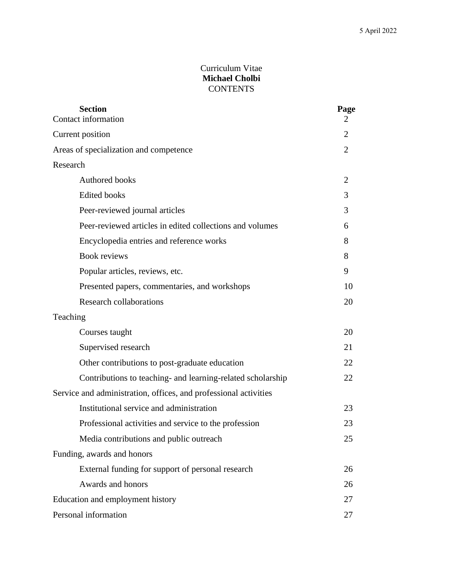## Curriculum Vitae **Michael Cholbi CONTENTS**

| <b>Section</b><br>Contact information                            | Page<br>$\overline{2}$ |
|------------------------------------------------------------------|------------------------|
| Current position                                                 | 2                      |
| Areas of specialization and competence                           | $\overline{2}$         |
| Research                                                         |                        |
| Authored books                                                   | 2                      |
| <b>Edited books</b>                                              | 3                      |
| Peer-reviewed journal articles                                   | 3                      |
| Peer-reviewed articles in edited collections and volumes         | 6                      |
| Encyclopedia entries and reference works                         | 8                      |
| <b>Book reviews</b>                                              | 8                      |
| Popular articles, reviews, etc.                                  | 9                      |
| Presented papers, commentaries, and workshops                    | 10                     |
| <b>Research collaborations</b>                                   | 20                     |
| Teaching                                                         |                        |
| Courses taught                                                   | 20                     |
| Supervised research                                              | 21                     |
| Other contributions to post-graduate education                   | 22                     |
| Contributions to teaching- and learning-related scholarship      | 22                     |
| Service and administration, offices, and professional activities |                        |
| Institutional service and administration                         | 23                     |
| Professional activities and service to the profession            | 23                     |
| Media contributions and public outreach                          | 25                     |
| Funding, awards and honors                                       |                        |
| External funding for support of personal research                | 26                     |
| Awards and honors                                                | 26                     |
| Education and employment history                                 | 27                     |
| Personal information                                             | 27                     |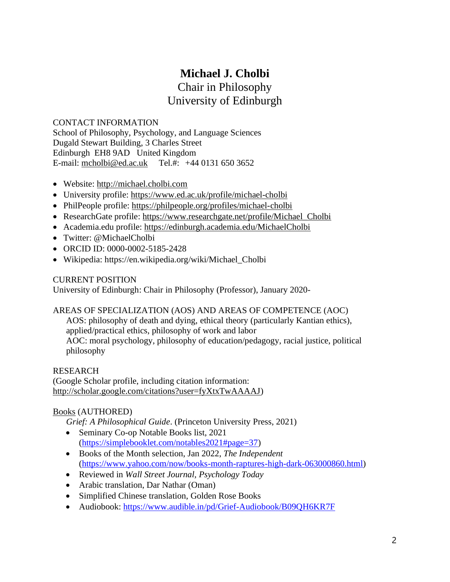## **Michael J. Cholbi** Chair in Philosophy University of Edinburgh

CONTACT INFORMATION School of Philosophy, Psychology, and Language Sciences Dugald Stewart Building, 3 Charles Street Edinburgh EH8 9AD United Kingdom E-mail: [mcholbi@ed.ac.uk](mailto:mcholbi@ed.ac.uk) Tel.#: +44 0131 650 3652

- Website: [http://michael.cholbi.com](http://michael.cholbi.com/)
- University profile:<https://www.ed.ac.uk/profile/michael-cholbi>
- PhilPeople profile:<https://philpeople.org/profiles/michael-cholbi>
- ResearchGate profile: https://www.researchgate.net/profile/Michael Cholbi
- Academia.edu profile:<https://edinburgh.academia.edu/MichaelCholbi>
- Twitter: @MichaelCholbi
- ORCID ID: 0000-0002-5185-2428
- Wikipedia: https://en.wikipedia.org/wiki/Michael\_Cholbi

#### CURRENT POSITION

University of Edinburgh: Chair in Philosophy (Professor), January 2020-

#### AREAS OF SPECIALIZATION (AOS) AND AREAS OF COMPETENCE (AOC)

AOS: philosophy of death and dying, ethical theory (particularly Kantian ethics), applied/practical ethics, philosophy of work and labor

AOC: moral psychology, philosophy of education/pedagogy, racial justice, political philosophy

#### RESEARCH

(Google Scholar profile, including citation information: [http://scholar.google.com/citations?user=fyXtxTwAAAAJ\)](http://scholar.google.com/citations?user=fyXtxTwAAAAJ)

## Books (AUTHORED)

*Grief: A Philosophical Guide*. (Princeton University Press, 2021)

- Seminary Co-op Notable Books list, 2021 [\(https://simplebooklet.com/notables2021#page=37\)](https://simplebooklet.com/notables2021#page=37)
- Books of the Month selection, Jan 2022, *The Independent* [\(https://www.yahoo.com/now/books-month-raptures-high-dark-063000860.html\)](https://www.yahoo.com/now/books-month-raptures-high-dark-063000860.html)
- Reviewed in *Wall Street Journal, Psychology Today*
- Arabic translation, Dar Nathar (Oman)
- Simplified Chinese translation, Golden Rose Books
- Audiobook:<https://www.audible.in/pd/Grief-Audiobook/B09QH6KR7F>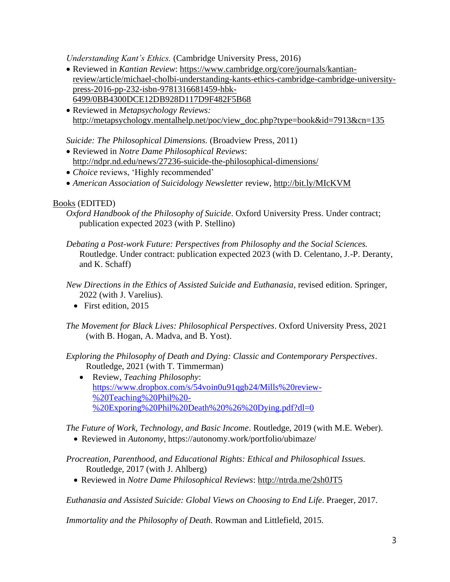*Understanding Kant's Ethics.* (Cambridge University Press, 2016)

- Reviewed in *Kantian Review*: [https://www.cambridge.org/core/journals/kantian](https://www.cambridge.org/core/journals/kantian-review/article/michael-cholbi-understanding-kants-ethics-cambridge-cambridge-university-press-2016-pp-232-isbn-9781316681459-hbk-6499/0BB4300DCE12DB928D117D9F482F5B68)[review/article/michael-cholbi-understanding-kants-ethics-cambridge-cambridge-university](https://www.cambridge.org/core/journals/kantian-review/article/michael-cholbi-understanding-kants-ethics-cambridge-cambridge-university-press-2016-pp-232-isbn-9781316681459-hbk-6499/0BB4300DCE12DB928D117D9F482F5B68)[press-2016-pp-232-isbn-9781316681459-hbk-](https://www.cambridge.org/core/journals/kantian-review/article/michael-cholbi-understanding-kants-ethics-cambridge-cambridge-university-press-2016-pp-232-isbn-9781316681459-hbk-6499/0BB4300DCE12DB928D117D9F482F5B68)[6499/0BB4300DCE12DB928D117D9F482F5B68](https://www.cambridge.org/core/journals/kantian-review/article/michael-cholbi-understanding-kants-ethics-cambridge-cambridge-university-press-2016-pp-232-isbn-9781316681459-hbk-6499/0BB4300DCE12DB928D117D9F482F5B68)
- Reviewed in *Metapsychology Reviews:*  [http://metapsychology.mentalhelp.net/poc/view\\_doc.php?type=book&id=7913&cn=135](http://metapsychology.mentalhelp.net/poc/view_doc.php?type=book&id=7913&cn=135)

## *Suicide: The Philosophical Dimensions.* (Broadview Press, 2011)

- Reviewed in *Notre Dame Philosophical Reviews*: <http://ndpr.nd.edu/news/27236-suicide-the-philosophical-dimensions/>
- *Choice* reviews, 'Highly recommended'
- *American Association of Suicidology Newsletter* review,<http://bit.ly/MIcKVM>

## Books (EDITED)

- *Oxford Handbook of the Philosophy of Suicide*. Oxford University Press. Under contract; publication expected 2023 (with P. Stellino)
- *Debating a Post-work Future: Perspectives from Philosophy and the Social Sciences.*  Routledge. Under contract: publication expected 2023 (with D. Celentano, J.-P. Deranty, and K. Schaff)
- *New Directions in the Ethics of Assisted Suicide and Euthanasia*, revised edition. Springer, 2022 (with J. Varelius).
	- First edition, 2015
- *The Movement for Black Lives: Philosophical Perspectives*. Oxford University Press, 2021 (with B. Hogan, A. Madva, and B. Yost).

*Exploring the Philosophy of Death and Dying: Classic and Contemporary Perspectives*. Routledge, 2021 (with T. Timmerman)

• Review, *Teaching Philosophy*: [https://www.dropbox.com/s/54voin0u91qgb24/Mills%20review-](https://www.dropbox.com/s/54voin0u91qgb24/Mills%20review-%20Teaching%20Phil%20-%20Exporing%20Phil%20Death%20%26%20Dying.pdf?dl=0) [%20Teaching%20Phil%20-](https://www.dropbox.com/s/54voin0u91qgb24/Mills%20review-%20Teaching%20Phil%20-%20Exporing%20Phil%20Death%20%26%20Dying.pdf?dl=0) [%20Exporing%20Phil%20Death%20%26%20Dying.pdf?dl=0](https://www.dropbox.com/s/54voin0u91qgb24/Mills%20review-%20Teaching%20Phil%20-%20Exporing%20Phil%20Death%20%26%20Dying.pdf?dl=0)

*The Future of Work, Technology, and Basic Income*. Routledge, 2019 (with M.E. Weber).

• Reviewed in *Autonomy*, https://autonomy.work/portfolio/ubimaze/

*Procreation, Parenthood, and Educational Rights: Ethical and Philosophical Issues.*  Routledge, 2017 (with J. Ahlberg)

• Reviewed in *Notre Dame Philosophical Reviews*:<http://ntrda.me/2sh0JT5>

*Euthanasia and Assisted Suicide: Global Views on Choosing to End Life*. Praeger, 2017.

*Immortality and the Philosophy of Death.* Rowman and Littlefield, 2015.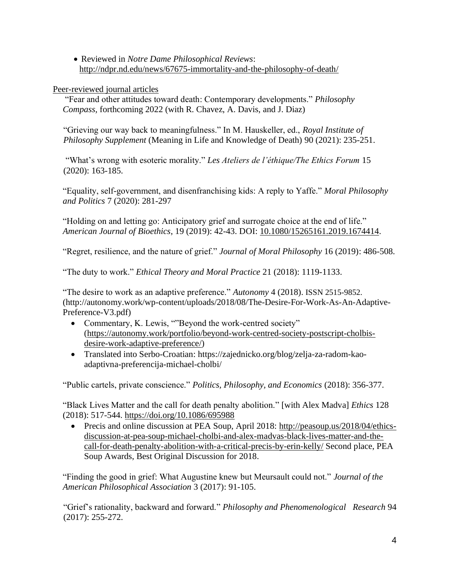• Reviewed in *Notre Dame Philosophical Reviews*: <http://ndpr.nd.edu/news/67675-immortality-and-the-philosophy-of-death/>

Peer-reviewed journal articles

"Fear and other attitudes toward death: Contemporary developments." *Philosophy Compass,* forthcoming 2022 (with R. Chavez, A. Davis, and J. Diaz)

"Grieving our way back to meaningfulness." In M. Hauskeller, ed., *Royal Institute of Philosophy Supplement* (Meaning in Life and Knowledge of Death) 90 (2021): 235-251.

"What's wrong with esoteric morality." *Les Ateliers de l'éthique/The Ethics Forum* 15 (2020): 163-185.

"Equality, self-government, and disenfranchising kids: A reply to Yaffe." *Moral Philosophy and Politics* 7 (2020): 281-297

"Holding on and letting go: Anticipatory grief and surrogate choice at the end of life." *American Journal of Bioethics*, 19 (2019): 42-43. DOI: [10.1080/15265161.2019.1674414.](https://doi.org/10.1080/15265161.2019.1674414)

"Regret, resilience, and the nature of grief." *Journal of Moral Philosophy* 16 (2019): 486-508.

"The duty to work." *Ethical Theory and Moral Practice* 21 (2018): 1119-1133.

"The desire to work as an adaptive preference." *Autonomy* 4 (2018). ISSN 2515-9852. (http://autonomy.work/wp-content/uploads/2018/08/The-Desire-For-Work-As-An-Adaptive-Preference-V3.pdf)

- Commentary, K. Lewis, ""Beyond the work-centred society" [\(https://autonomy.work/portfolio/beyond-work-centred-society-postscript-cholbis](https://autonomy.work/portfolio/beyond-work-centred-society-postscript-cholbis-desire-work-adaptive-preference/)[desire-work-adaptive-preference/\)](https://autonomy.work/portfolio/beyond-work-centred-society-postscript-cholbis-desire-work-adaptive-preference/)
- Translated into Serbo-Croatian: https://zajednicko.org/blog/zelja-za-radom-kaoadaptivna-preferencija-michael-cholbi/

"Public cartels, private conscience." *Politics, Philosophy, and Economics* (2018): 356-377.

"Black Lives Matter and the call for death penalty abolition." [with Alex Madva] *Ethics* 128 (2018): 517-544.<https://doi.org/10.1086/695988>

• Precis and online discussion at PEA Soup, April 2018: [http://peasoup.us/2018/04/ethics](http://peasoup.us/2018/04/ethics-discussion-at-pea-soup-michael-cholbi-and-alex-madvas-black-lives-matter-and-the-call-for-death-penalty-abolition-with-a-critical-precis-by-erin-kelly/)[discussion-at-pea-soup-michael-cholbi-and-alex-madvas-black-lives-matter-and-the](http://peasoup.us/2018/04/ethics-discussion-at-pea-soup-michael-cholbi-and-alex-madvas-black-lives-matter-and-the-call-for-death-penalty-abolition-with-a-critical-precis-by-erin-kelly/)[call-for-death-penalty-abolition-with-a-critical-precis-by-erin-kelly/](http://peasoup.us/2018/04/ethics-discussion-at-pea-soup-michael-cholbi-and-alex-madvas-black-lives-matter-and-the-call-for-death-penalty-abolition-with-a-critical-precis-by-erin-kelly/) Second place, PEA Soup Awards, Best Original Discussion for 2018.

"Finding the good in grief: What Augustine knew but Meursault could not." *Journal of the American Philosophical Association* 3 (2017): 91-105.

"Grief's rationality, backward and forward." *Philosophy and Phenomenological Research* 94 (2017): 255-272.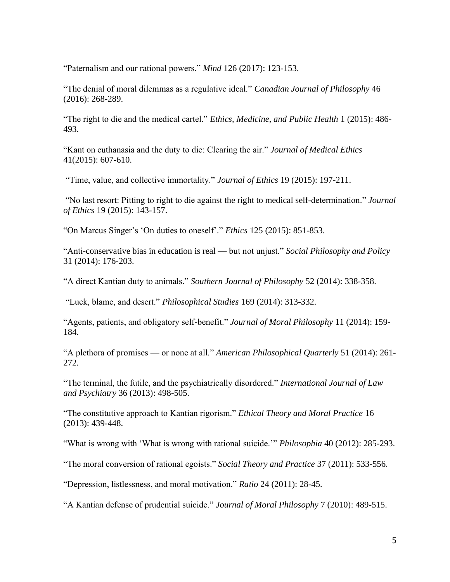"Paternalism and our rational powers." *Mind* 126 (2017): 123-153.

"The denial of moral dilemmas as a regulative ideal." *Canadian Journal of Philosophy* 46 (2016): 268-289.

"The right to die and the medical cartel." *Ethics, Medicine, and Public Health* 1 (2015): 486- 493.

"Kant on euthanasia and the duty to die: Clearing the air." *Journal of Medical Ethics* 41(2015): 607-610.

"Time, value, and collective immortality." *Journal of Ethics* 19 (2015): 197-211.

"No last resort: Pitting to right to die against the right to medical self-determination." *Journal of Ethics* 19 (2015): 143-157.

"On Marcus Singer's 'On duties to oneself'." *Ethics* 125 (2015): 851-853.

"Anti-conservative bias in education is real — but not unjust." *Social Philosophy and Policy* 31 (2014): 176-203.

"A direct Kantian duty to animals." *Southern Journal of Philosophy* 52 (2014): 338-358.

"Luck, blame, and desert." *Philosophical Studies* 169 (2014): 313-332.

"Agents, patients, and obligatory self-benefit." *Journal of Moral Philosophy* 11 (2014): 159- 184.

"A plethora of promises — or none at all." *American Philosophical Quarterly* 51 (2014): 261- 272.

"The terminal, the futile, and the psychiatrically disordered." *International Journal of Law and Psychiatry* 36 (2013): 498-505.

"The constitutive approach to Kantian rigorism." *Ethical Theory and Moral Practice* 16 (2013): 439-448.

"What is wrong with 'What is wrong with rational suicide.'" *Philosophia* 40 (2012): 285-293.

"The moral conversion of rational egoists." *Social Theory and Practice* 37 (2011): 533-556.

"Depression, listlessness, and moral motivation." *Ratio* 24 (2011): 28-45.

"A Kantian defense of prudential suicide." *Journal of Moral Philosophy* 7 (2010): 489-515.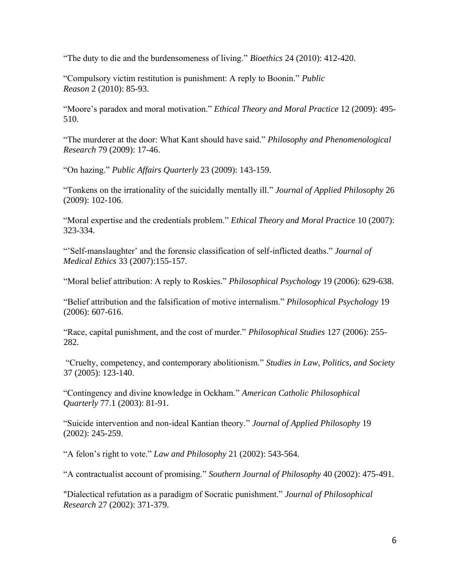"The duty to die and the burdensomeness of living." *Bioethics* 24 (2010): 412-420.

"Compulsory victim restitution is punishment: A reply to Boonin." *Public Reason* 2 (2010): 85-93.

"Moore's paradox and moral motivation." *Ethical Theory and Moral Practice* 12 (2009): 495- 510.

"The murderer at the door: What Kant should have said." *Philosophy and Phenomenological Research* 79 (2009): 17-46.

"On hazing." *Public Affairs Quarterly* 23 (2009): 143-159.

"Tonkens on the irrationality of the suicidally mentally ill." *Journal of Applied Philosophy* 26 (2009): 102-106.

"Moral expertise and the credentials problem." *Ethical Theory and Moral Practice* 10 (2007): 323-334.

"'Self-manslaughter' and the forensic classification of self-inflicted deaths." *Journal of Medical Ethics* 33 (2007):155-157.

"Moral belief attribution: A reply to Roskies." *Philosophical Psychology* 19 (2006): 629-638.

"Belief attribution and the falsification of motive internalism." *Philosophical Psychology* 19 (2006): 607-616.

"Race, capital punishment, and the cost of murder." *Philosophical Studies* 127 (2006): 255- 282.

"Cruelty, competency, and contemporary abolitionism." *Studies in Law, Politics, and Society* 37 (2005): 123-140.

"Contingency and divine knowledge in Ockham." *American Catholic Philosophical Quarterly* 77.1 (2003): 81-91.

"Suicide intervention and non-ideal Kantian theory." *Journal of Applied Philosophy* 19 (2002): 245-259.

"A felon's right to vote." *Law and Philosophy* 21 (2002): 543-564.

"A contractualist account of promising." *Southern Journal of Philosophy* 40 (2002): 475-491.

"Dialectical refutation as a paradigm of Socratic punishment." *Journal of Philosophical Research* 27 (2002): 371-379.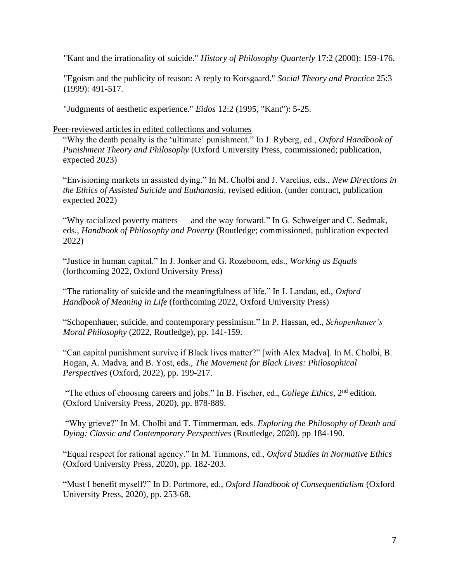"Kant and the irrationality of suicide." *History of Philosophy Quarterly* 17:2 (2000): 159-176.

"Egoism and the publicity of reason: A reply to Korsgaard." *Social Theory and Practice* 25:3 (1999): 491-517.

"Judgments of aesthetic experience." *Eidos* 12:2 (1995, "Kant"): 5-25.

Peer-reviewed articles in edited collections and volumes

"Why the death penalty is the 'ultimate' punishment." In J. Ryberg, ed., *Oxford Handbook of Punishment Theory and Philosophy* (Oxford University Press, commissioned; publication, expected 2023)

"Envisioning markets in assisted dying." In M. Cholbi and J. Varelius, eds., *New Directions in the Ethics of Assisted Suicide and Euthanasia,* revised edition. (under contract, publication expected 2022)

"Why racialized poverty matters — and the way forward." In G. Schweiger and C. Sedmak, eds., *Handbook of Philosophy and Poverty* (Routledge; commissioned, publication expected 2022)

"Justice in human capital." In J. Jonker and G. Rozeboom, eds., *Working as Equals* (forthcoming 2022, Oxford University Press)

"The rationality of suicide and the meaningfulness of life." In I. Landau, ed., *Oxford Handbook of Meaning in Life* (forthcoming 2022, Oxford University Press)

"Schopenhauer, suicide, and contemporary pessimism." In P. Hassan, ed., *Schopenhauer's Moral Philosophy* (2022, Routledge), pp. 141-159.

"Can capital punishment survive if Black lives matter?" [with Alex Madva]. In M. Cholbi, B. Hogan, A. Madva, and B. Yost, eds., *The Movement for Black Lives: Philosophical Perspectives* (Oxford, 2022), pp. 199-217.

"The ethics of choosing careers and jobs." In B. Fischer, ed., *College Ethics*, 2nd edition. (Oxford University Press, 2020), pp. 878-889.

"Why grieve?" In M. Cholbi and T. Timmerman, eds. *Exploring the Philosophy of Death and Dying: Classic and Contemporary Perspectives* (Routledge, 2020), pp 184-190.

"Equal respect for rational agency." In M. Timmons, ed., *Oxford Studies in Normative Ethics* (Oxford University Press, 2020), pp. 182-203.

"Must I benefit myself?" In D. Portmore, ed., *Oxford Handbook of Consequentialism* (Oxford University Press, 2020), pp. 253-68.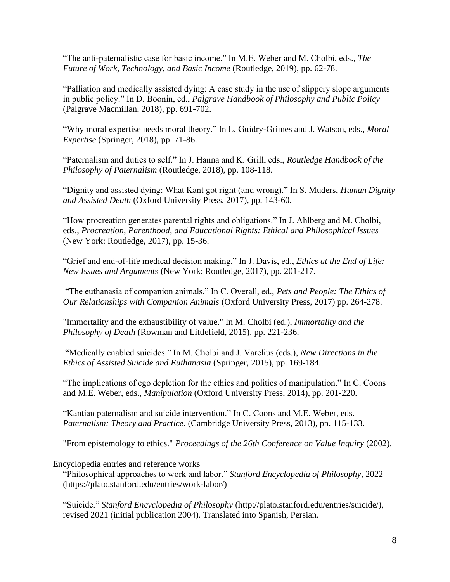"The anti-paternalistic case for basic income." In M.E. Weber and M. Cholbi, eds., *The Future of Work, Technology, and Basic Income* (Routledge, 2019), pp. 62-78.

"Palliation and medically assisted dying: A case study in the use of slippery slope arguments in public policy." In D. Boonin, ed., *Palgrave Handbook of Philosophy and Public Policy* (Palgrave Macmillan, 2018), pp. 691-702.

"Why moral expertise needs moral theory." In L. Guidry-Grimes and J. Watson, eds., *Moral Expertise* (Springer, 2018), pp. 71-86.

"Paternalism and duties to self." In J. Hanna and K. Grill, eds., *Routledge Handbook of the Philosophy of Paternalism* (Routledge, 2018), pp. 108-118.

"Dignity and assisted dying: What Kant got right (and wrong)." In S. Muders, *Human Dignity and Assisted Death* (Oxford University Press, 2017), pp. 143-60.

"How procreation generates parental rights and obligations." In J. Ahlberg and M. Cholbi, eds., *Procreation, Parenthood, and Educational Rights: Ethical and Philosophical Issues*  (New York: Routledge, 2017), pp. 15-36.

"Grief and end-of-life medical decision making." In J. Davis, ed., *Ethics at the End of Life: New Issues and Arguments* (New York: Routledge, 2017), pp. 201-217.

"The euthanasia of companion animals." In C. Overall, ed., *Pets and People: The Ethics of Our Relationships with Companion Animals* (Oxford University Press, 2017) pp. 264-278.

"Immortality and the exhaustibility of value." In M. Cholbi (ed.), *Immortality and the Philosophy of Death* (Rowman and Littlefield, 2015), pp. 221-236.

"Medically enabled suicides." In M. Cholbi and J. Varelius (eds.), *New Directions in the Ethics of Assisted Suicide and Euthanasia* (Springer, 2015), pp. 169-184.

"The implications of ego depletion for the ethics and politics of manipulation." In C. Coons and M.E. Weber, eds., *Manipulation* (Oxford University Press, 2014), pp. 201-220.

"Kantian paternalism and suicide intervention." In C. Coons and M.E. Weber, eds. *Paternalism: Theory and Practice*. (Cambridge University Press, 2013), pp. 115-133.

"From epistemology to ethics." *Proceedings of the 26th Conference on Value Inquiry* (2002).

#### Encyclopedia entries and reference works

"Philosophical approaches to work and labor." *Stanford Encyclopedia of Philosophy*, 2022 (https://plato.stanford.edu/entries/work-labor/)

"Suicide." *Stanford Encyclopedia of Philosophy* (http://plato.stanford.edu/entries/suicide/), revised 2021 (initial publication 2004). Translated into Spanish, Persian.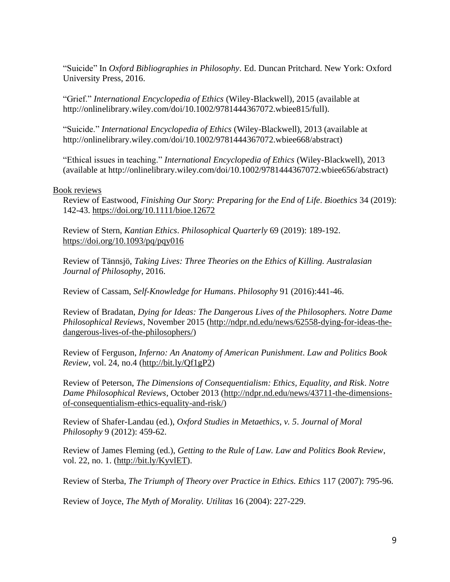"Suicide" In *Oxford Bibliographies in Philosophy*. Ed. Duncan Pritchard. New York: Oxford University Press, 2016.

"Grief." *International Encyclopedia of Ethics* (Wiley-Blackwell), 2015 (available at http://onlinelibrary.wiley.com/doi/10.1002/9781444367072.wbiee815/full).

"Suicide." *International Encyclopedia of Ethics* (Wiley-Blackwell), 2013 (available at http://onlinelibrary.wiley.com/doi/10.1002/9781444367072.wbiee668/abstract)

"Ethical issues in teaching." *International Encyclopedia of Ethics* (Wiley-Blackwell), 2013 (available at http://onlinelibrary.wiley.com/doi/10.1002/9781444367072.wbiee656/abstract)

#### Book reviews

Review of Eastwood, *Finishing Our Story: Preparing for the End of Life*. *Bioethics* 34 (2019): 142-43.<https://doi.org/10.1111/bioe.12672>

Review of Stern, *Kantian Ethics*. *Philosophical Quarterly* 69 (2019): 189-192. <https://doi.org/10.1093/pq/pqy016>

Review of Tännsjö, *Taking Lives: Three Theories on the Ethics of Killing. Australasian Journal of Philosophy*, 2016.

Review of Cassam, *Self-Knowledge for Humans*. *Philosophy* 91 (2016):441-46.

Review of Bradatan, *Dying for Ideas: The Dangerous Lives of the Philosophers. Notre Dame Philosophical Reviews*, November 2015 [\(http://ndpr.nd.edu/news/62558-dying-for-ideas-the](http://ndpr.nd.edu/news/62558-dying-for-ideas-the-dangerous-lives-of-the-philosophers/)[dangerous-lives-of-the-philosophers/\)](http://ndpr.nd.edu/news/62558-dying-for-ideas-the-dangerous-lives-of-the-philosophers/)

Review of Ferguson, *Inferno: An Anatomy of American Punishment*. *Law and Politics Book Review*, vol. 24, no.4 [\(http://bit.ly/Qf1gP2\)](http://bit.ly/Qf1gP2)

Review of Peterson, *The Dimensions of Consequentialism: Ethics, Equality, and Risk*. *Notre Dame Philosophical Reviews*, October 2013 [\(http://ndpr.nd.edu/news/43711-the-dimensions](http://ndpr.nd.edu/news/43711-the-dimensions-of-consequentialism-ethics-equality-and-risk/)[of-consequentialism-ethics-equality-and-risk/\)](http://ndpr.nd.edu/news/43711-the-dimensions-of-consequentialism-ethics-equality-and-risk/)

Review of Shafer-Landau (ed.), *Oxford Studies in Metaethics, v. 5*. *Journal of Moral Philosophy* 9 (2012): 459-62.

Review of James Fleming (ed.), *Getting to the Rule of Law. Law and Politics Book Review*, vol. 22, no. 1. [\(http://bit.ly/KyvlET\)](http://bit.ly/KyvlET).

Review of Sterba, *The Triumph of Theory over Practice in Ethics. Ethics* 117 (2007): 795-96.

Review of Joyce, *The Myth of Morality. Utilitas* 16 (2004): 227-229.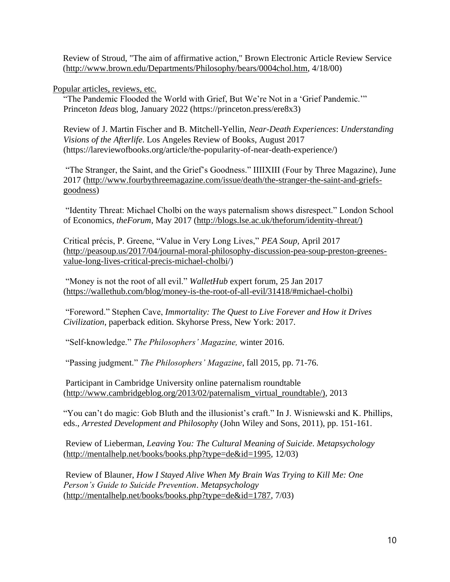Review of Stroud, "The aim of affirmative action," Brown Electronic Article Review Service [\(http://www.brown.edu/Departments/Philosophy/bears/0004chol.htm,](http://www.brown.edu/Departments/Philosophy/bears/0004chol.htm) 4/18/00)

Popular articles, reviews, etc.

"The Pandemic Flooded the World with Grief, But We're Not in a 'Grief Pandemic.'" Princeton *Ideas* blog, January 2022 (https://princeton.press/ere8x3)

Review of J. Martin Fischer and B. Mitchell-Yellin, *Near-Death Experiences*: *Understanding Visions of the Afterlife*. Los Angeles Review of Books, August 2017 (https://lareviewofbooks.org/article/the-popularity-of-near-death-experience/)

"The Stranger, the Saint, and the Grief's Goodness." IIIIXIII (Four by Three Magazine), June 2017 [\(http://www.fourbythreemagazine.com/issue/death/the-stranger-the-saint-and-griefs](http://www.fourbythreemagazine.com/issue/death/the-stranger-the-saint-and-griefs-goodness)[goodness\)](http://www.fourbythreemagazine.com/issue/death/the-stranger-the-saint-and-griefs-goodness)

"Identity Threat: Michael Cholbi on the ways paternalism shows disrespect." London School of Economics*, theForum*, May 2017 [\(http://blogs.lse.ac.uk/theforum/identity-threat/\)](http://blogs.lse.ac.uk/theforum/identity-threat/))

Critical précis, P. Greene, "Value in Very Long Lives," *PEA Soup,* April 2017 [\(http://peasoup.us/2017/04/journal-moral-philosophy-discussion-pea-soup-preston-greenes](http://peasoup.us/2017/04/journal-moral-philosophy-discussion-pea-soup-preston-greenes-value-long-lives-critical-precis-michael-cholbi)[value-long-lives-critical-precis-michael-cholbi/](http://peasoup.us/2017/04/journal-moral-philosophy-discussion-pea-soup-preston-greenes-value-long-lives-critical-precis-michael-cholbi))

"Money is not the root of all evil." *WalletHub* expert forum, 25 Jan 2017 [\(https://wallethub.com/blog/money-is-the-root-of-all-evil/31418/#michael-cholbi\)](https://wallethub.com/blog/money-is-the-root-of-all-evil/31418/#michael-cholbi))

"Foreword." Stephen Cave, *Immortality: The Quest to Live Forever and How it Drives Civilization*, paperback edition. Skyhorse Press, New York: 2017.

"Self-knowledge." *The Philosophers' Magazine,* winter 2016.

"Passing judgment." *The Philosophers' Magazine*, fall 2015, pp. 71-76.

Participant in Cambridge University online paternalism roundtable [\(http://www.cambridgeblog.org/2013/02/paternalism\\_virtual\\_roundtable/\),](http://www.cambridgeblog.org/2013/02/paternalism_virtual_roundtable/)) 2013

"You can't do magic: Gob Bluth and the illusionist's craft." In J. Wisniewski and K. Phillips, eds., *Arrested Development and Philosophy* (John Wiley and Sons, 2011), pp. 151-161.

Review of Lieberman, *Leaving You: The Cultural Meaning of Suicide*. *Metapsychology* [\(http://mentalhelp.net/books/books.php?type=de&id=1995,](http://mentalhelp.net/books/books.php?type=de&id=1995) 12/03)

Review of Blauner, *How I Stayed Alive When My Brain Was Trying to Kill Me: One Person's Guide to Suicide Prevention*. *Metapsychology* [\(http://mentalhelp.net/books/books.php?type=de&id=1787,](http://mentalhelp.net/books/books.php?type=de&id=1787) 7/03)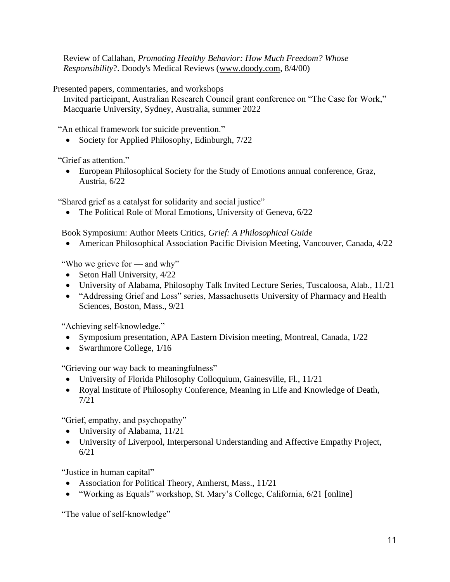Review of Callahan, *Promoting Healthy Behavior: How Much Freedom? Whose Responsibility*?. Doody's Medical Reviews [\(www.doody.com,](http://www.doody.com/) 8/4/00)

Presented papers, commentaries, and workshops

Invited participant, Australian Research Council grant conference on "The Case for Work," Macquarie University, Sydney, Australia, summer 2022

"An ethical framework for suicide prevention."

• Society for Applied Philosophy, Edinburgh,  $7/22$ 

"Grief as attention."

• European Philosophical Society for the Study of Emotions annual conference, Graz, Austria, 6/22

"Shared grief as a catalyst for solidarity and social justice"

• The Political Role of Moral Emotions, University of Geneva, 6/22

Book Symposium: Author Meets Critics, *Grief: A Philosophical Guide*

• American Philosophical Association Pacific Division Meeting, Vancouver, Canada, 4/22

"Who we grieve for — and why"

- Seton Hall University,  $4/22$
- University of Alabama, Philosophy Talk Invited Lecture Series, Tuscaloosa, Alab., 11/21
- "Addressing Grief and Loss" series, Massachusetts University of Pharmacy and Health Sciences, Boston, Mass., 9/21

"Achieving self-knowledge."

- Symposium presentation, APA Eastern Division meeting, Montreal, Canada, 1/22
- Swarthmore College,  $1/16$

"Grieving our way back to meaningfulness"

- University of Florida Philosophy Colloquium, Gainesville, Fl., 11/21
- Royal Institute of Philosophy Conference, Meaning in Life and Knowledge of Death, 7/21

"Grief, empathy, and psychopathy"

- University of Alabama, 11/21
- University of Liverpool, Interpersonal Understanding and Affective Empathy Project, 6/21

"Justice in human capital"

- Association for Political Theory, Amherst, Mass., 11/21
- "Working as Equals" workshop, St. Mary's College, California, 6/21 [online]

"The value of self-knowledge"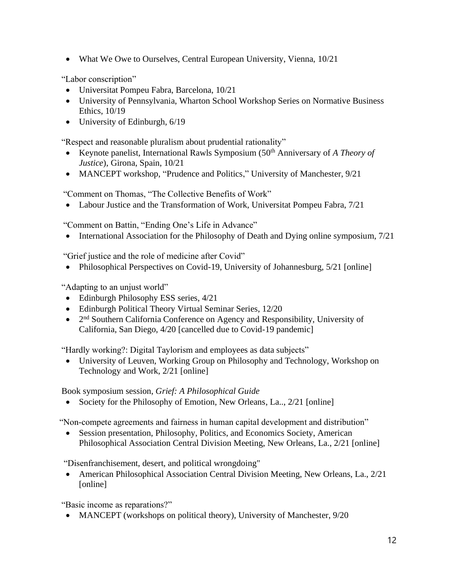• What We Owe to Ourselves, Central European University, Vienna, 10/21

"Labor conscription"

- Universitat Pompeu Fabra, Barcelona, 10/21
- University of Pennsylvania, Wharton School Workshop Series on Normative Business Ethics, 10/19
- University of Edinburgh, 6/19

"Respect and reasonable pluralism about prudential rationality"

- Keynote panelist, International Rawls Symposium (50<sup>th</sup> Anniversary of *A Theory of Justice*), Girona, Spain, 10/21
- MANCEPT workshop, "Prudence and Politics," University of Manchester, 9/21

"Comment on Thomas, "The Collective Benefits of Work"

• Labour Justice and the Transformation of Work, Universitat Pompeu Fabra, 7/21

"Comment on Battin, "Ending One's Life in Advance"

• International Association for the Philosophy of Death and Dying online symposium,  $7/21$ 

"Grief justice and the role of medicine after Covid"

• Philosophical Perspectives on Covid-19, University of Johannesburg, 5/21 [online]

"Adapting to an unjust world"

- Edinburgh Philosophy ESS series,  $4/21$
- Edinburgh Political Theory Virtual Seminar Series, 12/20
- 2<sup>nd</sup> Southern California Conference on Agency and Responsibility, University of California, San Diego, 4/20 [cancelled due to Covid-19 pandemic]

"Hardly working?: Digital Taylorism and employees as data subjects"

• University of Leuven, Working Group on Philosophy and Technology, Workshop on Technology and Work, 2/21 [online]

Book symposium session, *Grief: A Philosophical Guide*

• Society for the Philosophy of Emotion, New Orleans, La., 2/21 [online]

"Non-compete agreements and fairness in human capital development and distribution"

• Session presentation, Philosophy, Politics, and Economics Society, American Philosophical Association Central Division Meeting, New Orleans, La., 2/21 [online]

"Disenfranchisement, desert, and political wrongdoing"

• American Philosophical Association Central Division Meeting, New Orleans, La., 2/21 [online]

"Basic income as reparations?"

• MANCEPT (workshops on political theory), University of Manchester, 9/20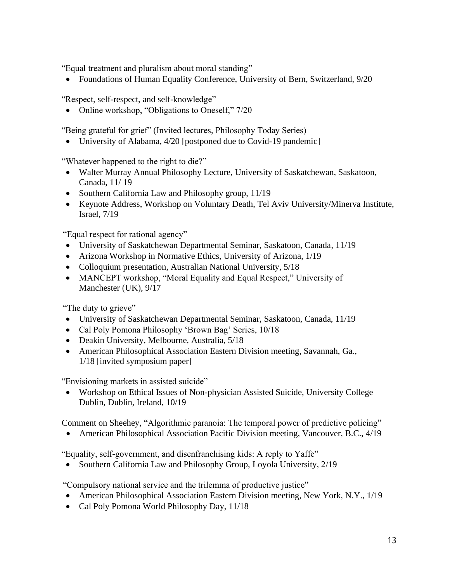"Equal treatment and pluralism about moral standing"

• Foundations of Human Equality Conference, University of Bern, Switzerland, 9/20

"Respect, self-respect, and self-knowledge"

• Online workshop, "Obligations to Oneself," 7/20

"Being grateful for grief" (Invited lectures, Philosophy Today Series)

• University of Alabama, 4/20 [postponed due to Covid-19 pandemic]

"Whatever happened to the right to die?"

- Walter Murray Annual Philosophy Lecture, University of Saskatchewan, Saskatoon, Canada, 11/ 19
- Southern California Law and Philosophy group, 11/19
- Keynote Address, Workshop on Voluntary Death, Tel Aviv University/Minerva Institute, Israel, 7/19

"Equal respect for rational agency"

- University of Saskatchewan Departmental Seminar, Saskatoon, Canada, 11/19
- Arizona Workshop in Normative Ethics, University of Arizona, 1/19
- Colloquium presentation, Australian National University, 5/18
- MANCEPT workshop, "Moral Equality and Equal Respect," University of Manchester (UK), 9/17

"The duty to grieve"

- University of Saskatchewan Departmental Seminar, Saskatoon, Canada, 11/19
- Cal Poly Pomona Philosophy 'Brown Bag' Series, 10/18
- Deakin University, Melbourne, Australia, 5/18
- American Philosophical Association Eastern Division meeting, Savannah, Ga., 1/18 [invited symposium paper]

"Envisioning markets in assisted suicide"

• Workshop on Ethical Issues of Non-physician Assisted Suicide, University College Dublin, Dublin, Ireland, 10/19

Comment on Sheehey, "Algorithmic paranoia: The temporal power of predictive policing"

• American Philosophical Association Pacific Division meeting, Vancouver, B.C., 4/19

"Equality, self-government, and disenfranchising kids: A reply to Yaffe"

• Southern California Law and Philosophy Group, Loyola University, 2/19

"Compulsory national service and the trilemma of productive justice"

- American Philosophical Association Eastern Division meeting, New York, N.Y., 1/19
- Cal Poly Pomona World Philosophy Day, 11/18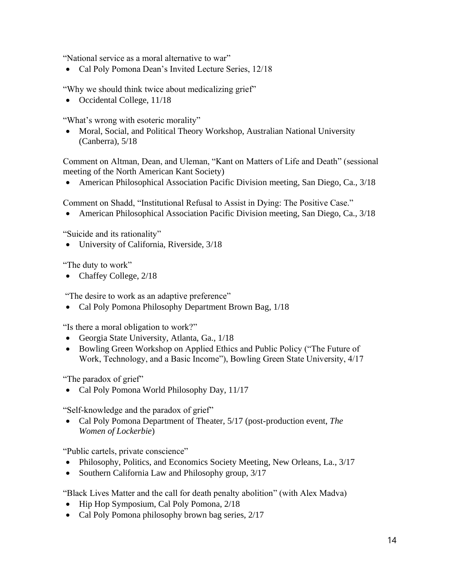"National service as a moral alternative to war"

• Cal Poly Pomona Dean's Invited Lecture Series, 12/18

"Why we should think twice about medicalizing grief"

• Occidental College,  $11/18$ 

"What's wrong with esoteric morality"

• Moral, Social, and Political Theory Workshop, Australian National University (Canberra), 5/18

Comment on Altman, Dean, and Uleman, "Kant on Matters of Life and Death" (sessional meeting of the North American Kant Society)

• American Philosophical Association Pacific Division meeting, San Diego, Ca., 3/18

Comment on Shadd, "Institutional Refusal to Assist in Dying: The Positive Case."

• American Philosophical Association Pacific Division meeting, San Diego, Ca., 3/18

"Suicide and its rationality"

• University of California, Riverside, 3/18

"The duty to work"

• Chaffey College, 2/18

"The desire to work as an adaptive preference"

• Cal Poly Pomona Philosophy Department Brown Bag, 1/18

"Is there a moral obligation to work?"

- Georgia State University, Atlanta, Ga., 1/18
- Bowling Green Workshop on Applied Ethics and Public Policy ("The Future of Work, Technology, and a Basic Income"), Bowling Green State University, 4/17

"The paradox of grief"

• Cal Poly Pomona World Philosophy Day, 11/17

"Self-knowledge and the paradox of grief"

• Cal Poly Pomona Department of Theater, 5/17 (post-production event, *The Women of Lockerbie*)

"Public cartels, private conscience"

- Philosophy, Politics, and Economics Society Meeting, New Orleans, La., 3/17
- Southern California Law and Philosophy group,  $3/17$

"Black Lives Matter and the call for death penalty abolition" (with Alex Madva)

- Hip Hop Symposium, Cal Poly Pomona, 2/18
- Cal Poly Pomona philosophy brown bag series, 2/17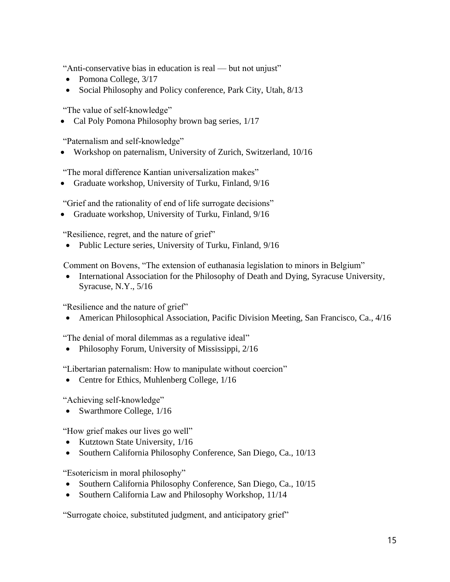"Anti-conservative bias in education is real — but not unjust"

- Pomona College,  $3/17$
- Social Philosophy and Policy conference, Park City, Utah, 8/13

"The value of self-knowledge"

• Cal Poly Pomona Philosophy brown bag series,  $1/17$ 

"Paternalism and self-knowledge"

• Workshop on paternalism, University of Zurich, Switzerland, 10/16

"The moral difference Kantian universalization makes"

• Graduate workshop, University of Turku, Finland, 9/16

"Grief and the rationality of end of life surrogate decisions"

• Graduate workshop, University of Turku, Finland, 9/16

"Resilience, regret, and the nature of grief"

• Public Lecture series, University of Turku, Finland, 9/16

Comment on Bovens, "The extension of euthanasia legislation to minors in Belgium"

• International Association for the Philosophy of Death and Dying, Syracuse University, Syracuse, N.Y., 5/16

"Resilience and the nature of grief"

• American Philosophical Association, Pacific Division Meeting, San Francisco, Ca., 4/16

"The denial of moral dilemmas as a regulative ideal"

• Philosophy Forum, University of Mississippi, 2/16

"Libertarian paternalism: How to manipulate without coercion"

• Centre for Ethics, Muhlenberg College,  $1/16$ 

"Achieving self-knowledge"

• Swarthmore College,  $1/16$ 

"How grief makes our lives go well"

- Kutztown State University, 1/16
- Southern California Philosophy Conference, San Diego, Ca., 10/13

"Esotericism in moral philosophy"

- Southern California Philosophy Conference, San Diego, Ca., 10/15
- Southern California Law and Philosophy Workshop, 11/14

"Surrogate choice, substituted judgment, and anticipatory grief"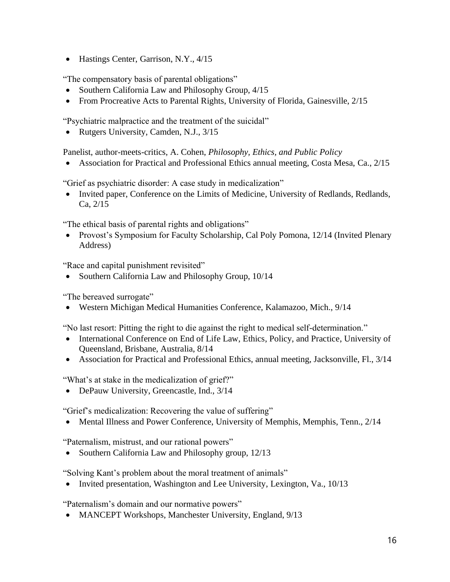• Hastings Center, Garrison, N.Y., 4/15

"The compensatory basis of parental obligations"

- Southern California Law and Philosophy Group,  $4/15$
- From Procreative Acts to Parental Rights, University of Florida, Gainesville, 2/15

"Psychiatric malpractice and the treatment of the suicidal"

• Rutgers University, Camden, N.J., 3/15

Panelist, author-meets-critics, A. Cohen, *Philosophy, Ethics, and Public Policy*

• Association for Practical and Professional Ethics annual meeting, Costa Mesa, Ca., 2/15

"Grief as psychiatric disorder: A case study in medicalization"

• Invited paper, Conference on the Limits of Medicine, University of Redlands, Redlands, Ca, 2/15

"The ethical basis of parental rights and obligations"

• Provost's Symposium for Faculty Scholarship, Cal Poly Pomona, 12/14 (Invited Plenary Address)

"Race and capital punishment revisited"

• Southern California Law and Philosophy Group, 10/14

"The bereaved surrogate"

• Western Michigan Medical Humanities Conference, Kalamazoo, Mich., 9/14

"No last resort: Pitting the right to die against the right to medical self-determination."

- International Conference on End of Life Law, Ethics, Policy, and Practice, University of Queensland, Brisbane, Australia, 8/14
- Association for Practical and Professional Ethics, annual meeting, Jacksonville, Fl., 3/14

"What's at stake in the medicalization of grief?"

• DePauw University, Greencastle, Ind., 3/14

"Grief's medicalization: Recovering the value of suffering"

• Mental Illness and Power Conference, University of Memphis, Memphis, Tenn., 2/14

"Paternalism, mistrust, and our rational powers"

• Southern California Law and Philosophy group, 12/13

"Solving Kant's problem about the moral treatment of animals"

• Invited presentation, Washington and Lee University, Lexington, Va., 10/13

"Paternalism's domain and our normative powers"

• MANCEPT Workshops, Manchester University, England, 9/13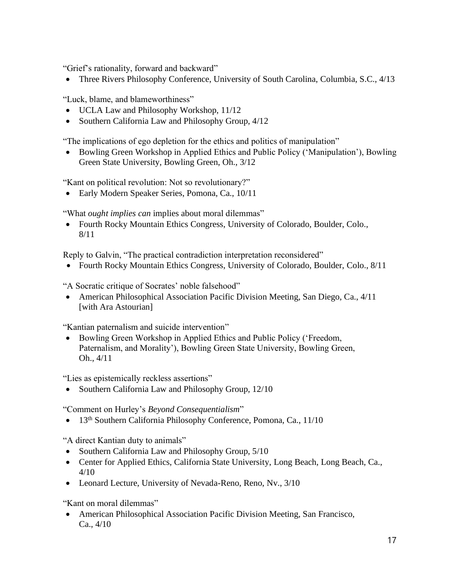"Grief's rationality, forward and backward"

• Three Rivers Philosophy Conference, University of South Carolina, Columbia, S.C., 4/13

"Luck, blame, and blameworthiness"

- UCLA Law and Philosophy Workshop, 11/12
- Southern California Law and Philosophy Group,  $4/12$

"The implications of ego depletion for the ethics and politics of manipulation"

• Bowling Green Workshop in Applied Ethics and Public Policy ('Manipulation'), Bowling Green State University, Bowling Green, Oh., 3/12

"Kant on political revolution: Not so revolutionary?"

• Early Modern Speaker Series, Pomona, Ca., 10/11

"What *ought implies can* implies about moral dilemmas"

• Fourth Rocky Mountain Ethics Congress, University of Colorado, Boulder, Colo., 8/11

Reply to Galvin, "The practical contradiction interpretation reconsidered"

• Fourth Rocky Mountain Ethics Congress, University of Colorado, Boulder, Colo., 8/11

"A Socratic critique of Socrates' noble falsehood"

• American Philosophical Association Pacific Division Meeting, San Diego, Ca., 4/11 [with Ara Astourian]

"Kantian paternalism and suicide intervention"

• Bowling Green Workshop in Applied Ethics and Public Policy ('Freedom, Paternalism, and Morality'), Bowling Green State University, Bowling Green, Oh., 4/11

"Lies as epistemically reckless assertions"

• Southern California Law and Philosophy Group, 12/10

"Comment on Hurley's *Beyond Consequentialism*"

• 13<sup>th</sup> Southern California Philosophy Conference, Pomona, Ca., 11/10

"A direct Kantian duty to animals"

- Southern California Law and Philosophy Group,  $5/10$
- Center for Applied Ethics, California State University, Long Beach, Long Beach, Ca., 4/10
- Leonard Lecture, University of Nevada-Reno, Reno, Nv.,  $3/10$

"Kant on moral dilemmas"

• American Philosophical Association Pacific Division Meeting, San Francisco, Ca., 4/10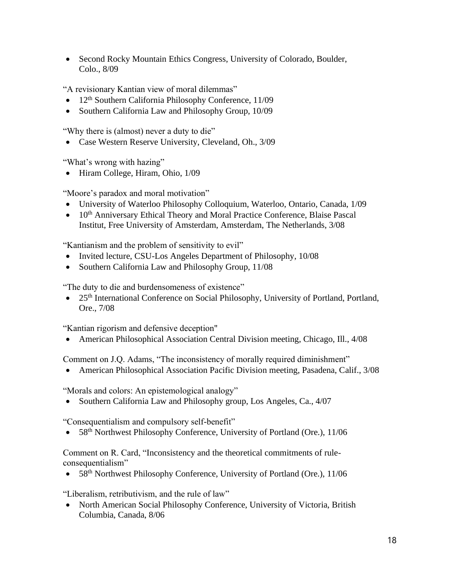• Second Rocky Mountain Ethics Congress, University of Colorado, Boulder, Colo., 8/09

"A revisionary Kantian view of moral dilemmas"

- 12<sup>th</sup> Southern California Philosophy Conference,  $11/09$
- Southern California Law and Philosophy Group, 10/09

"Why there is (almost) never a duty to die"

• Case Western Reserve University, Cleveland, Oh., 3/09

"What's wrong with hazing"

• Hiram College, Hiram, Ohio,  $1/09$ 

"Moore's paradox and moral motivation"

- University of Waterloo Philosophy Colloquium, Waterloo, Ontario, Canada, 1/09
- 10<sup>th</sup> Anniversary Ethical Theory and Moral Practice Conference, Blaise Pascal Institut, Free University of Amsterdam, Amsterdam, The Netherlands, 3/08

"Kantianism and the problem of sensitivity to evil"

- Invited lecture, CSU-Los Angeles Department of Philosophy, 10/08
- Southern California Law and Philosophy Group, 11/08

"The duty to die and burdensomeness of existence"

• 25<sup>th</sup> International Conference on Social Philosophy, University of Portland, Portland, Ore., 7/08

"Kantian rigorism and defensive deception"

• American Philosophical Association Central Division meeting, Chicago, Ill., 4/08

Comment on J.Q. Adams, "The inconsistency of morally required diminishment"

• American Philosophical Association Pacific Division meeting, Pasadena, Calif., 3/08

"Morals and colors: An epistemological analogy"

• Southern California Law and Philosophy group, Los Angeles, Ca., 4/07

"Consequentialism and compulsory self-benefit"

58<sup>th</sup> Northwest Philosophy Conference, University of Portland (Ore.), 11/06

Comment on R. Card, "Inconsistency and the theoretical commitments of ruleconsequentialism"

• 58<sup>th</sup> Northwest Philosophy Conference, University of Portland (Ore.), 11/06

"Liberalism, retributivism, and the rule of law"

• North American Social Philosophy Conference, University of Victoria, British Columbia, Canada, 8/06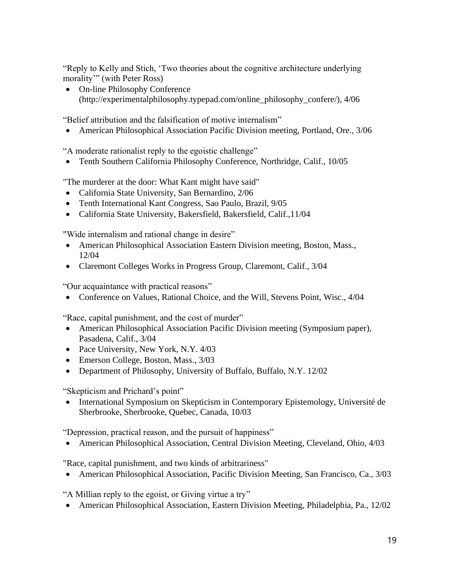"Reply to Kelly and Stich, 'Two theories about the cognitive architecture underlying morality'" (with Peter Ross)

• On-line Philosophy Conference (http://experimentalphilosophy.typepad.com/online\_philosophy\_confere/), 4/06

"Belief attribution and the falsification of motive internalism"

• American Philosophical Association Pacific Division meeting, Portland, Ore., 3/06

"A moderate rationalist reply to the egoistic challenge"

• Tenth Southern California Philosophy Conference, Northridge, Calif., 10/05

"The murderer at the door: What Kant might have said"

- California State University, San Bernardino, 2/06
- Tenth International Kant Congress, Sao Paulo, Brazil, 9/05
- California State University, Bakersfield, Bakersfield, Calif.,11/04

"Wide internalism and rational change in desire"

- American Philosophical Association Eastern Division meeting, Boston, Mass., 12/04
- Claremont Colleges Works in Progress Group, Claremont, Calif., 3/04

"Our acquaintance with practical reasons"

• Conference on Values, Rational Choice, and the Will, Stevens Point, Wisc., 4/04

"Race, capital punishment, and the cost of murder"

- American Philosophical Association Pacific Division meeting (Symposium paper), Pasadena, Calif., 3/04
- Pace University, New York, N.Y. 4/03
- Emerson College, Boston, Mass., 3/03
- Department of Philosophy, University of Buffalo, Buffalo, N.Y. 12/02

"Skepticism and Prichard's point"

• International Symposium on Skepticism in Contemporary Epistemology, Université de Sherbrooke, Sherbrooke, Quebec, Canada, 10/03

"Depression, practical reason, and the pursuit of happiness"

• American Philosophical Association, Central Division Meeting, Cleveland, Ohio, 4/03

"Race, capital punishment, and two kinds of arbitrariness"

• American Philosophical Association, Pacific Division Meeting, San Francisco, Ca., 3/03

"A Millian reply to the egoist, or Giving virtue a try"

• American Philosophical Association, Eastern Division Meeting, Philadelphia, Pa., 12/02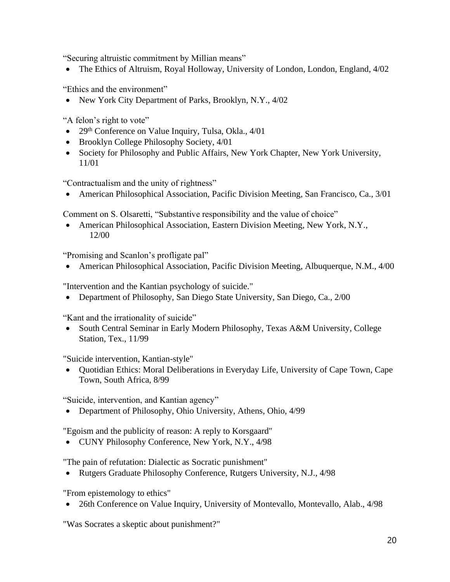"Securing altruistic commitment by Millian means"

• The Ethics of Altruism, Royal Holloway, University of London, London, England, 4/02

"Ethics and the environment"

• New York City Department of Parks, Brooklyn, N.Y., 4/02

"A felon's right to vote"

- 29<sup>th</sup> Conference on Value Inquiry, Tulsa, Okla.,  $4/01$
- Brooklyn College Philosophy Society,  $4/01$
- Society for Philosophy and Public Affairs, New York Chapter, New York University, 11/01

"Contractualism and the unity of rightness"

• American Philosophical Association, Pacific Division Meeting, San Francisco, Ca., 3/01

Comment on S. Olsaretti, "Substantive responsibility and the value of choice"

• American Philosophical Association, Eastern Division Meeting, New York, N.Y., 12/00

"Promising and Scanlon's profligate pal"

• American Philosophical Association, Pacific Division Meeting, Albuquerque, N.M., 4/00

"Intervention and the Kantian psychology of suicide."

• Department of Philosophy, San Diego State University, San Diego, Ca., 2/00

"Kant and the irrationality of suicide"

• South Central Seminar in Early Modern Philosophy, Texas A&M University, College Station, Tex., 11/99

"Suicide intervention, Kantian-style"

• Quotidian Ethics: Moral Deliberations in Everyday Life, University of Cape Town, Cape Town, South Africa, 8/99

"Suicide, intervention, and Kantian agency"

• Department of Philosophy, Ohio University, Athens, Ohio, 4/99

"Egoism and the publicity of reason: A reply to Korsgaard"

• CUNY Philosophy Conference, New York, N.Y., 4/98

"The pain of refutation: Dialectic as Socratic punishment"

• Rutgers Graduate Philosophy Conference, Rutgers University, N.J., 4/98

"From epistemology to ethics"

• 26th Conference on Value Inquiry, University of Montevallo, Montevallo, Alab., 4/98

"Was Socrates a skeptic about punishment?"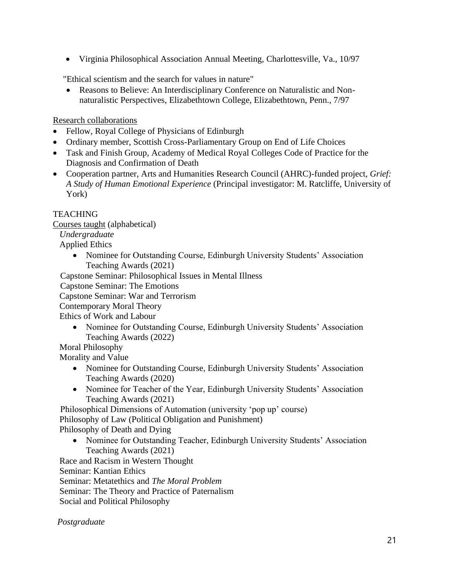• Virginia Philosophical Association Annual Meeting, Charlottesville, Va., 10/97

"Ethical scientism and the search for values in nature"

• Reasons to Believe: An Interdisciplinary Conference on Naturalistic and Nonnaturalistic Perspectives, Elizabethtown College, Elizabethtown, Penn., 7/97

Research collaborations

- Fellow, Royal College of Physicians of Edinburgh
- Ordinary member, Scottish Cross-Parliamentary Group on End of Life Choices
- Task and Finish Group, Academy of Medical Royal Colleges Code of Practice for the Diagnosis and Confirmation of Death
- Cooperation partner, Arts and Humanities Research Council (AHRC)-funded project, *Grief: A Study of Human Emotional Experience* (Principal investigator: M. Ratcliffe, University of York)

## **TEACHING**

Courses taught (alphabetical)

*Undergraduate* Applied Ethics

> • Nominee for Outstanding Course, Edinburgh University Students' Association Teaching Awards (2021)

Capstone Seminar: Philosophical Issues in Mental Illness

Capstone Seminar: The Emotions

Capstone Seminar: War and Terrorism

Contemporary Moral Theory

Ethics of Work and Labour

• Nominee for Outstanding Course, Edinburgh University Students' Association Teaching Awards (2022)

Moral Philosophy

Morality and Value

- Nominee for Outstanding Course, Edinburgh University Students' Association Teaching Awards (2020)
- Nominee for Teacher of the Year, Edinburgh University Students' Association Teaching Awards (2021)

Philosophical Dimensions of Automation (university 'pop up' course) Philosophy of Law (Political Obligation and Punishment) Philosophy of Death and Dying

• Nominee for Outstanding Teacher, Edinburgh University Students' Association Teaching Awards (2021)

Race and Racism in Western Thought Seminar: Kantian Ethics Seminar: Metatethics and *The Moral Problem* Seminar: The Theory and Practice of Paternalism Social and Political Philosophy

 *Postgraduate*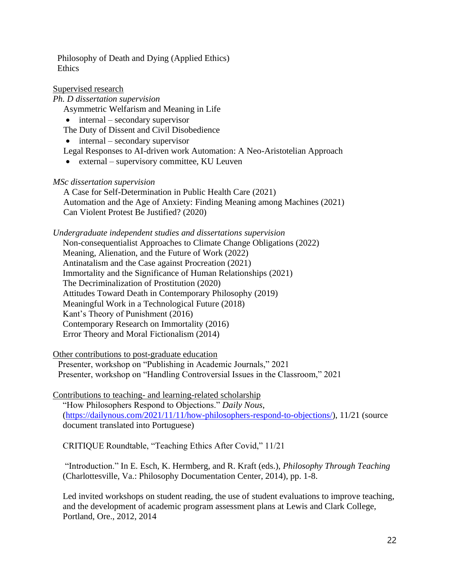Philosophy of Death and Dying (Applied Ethics) **Ethics** 

## Supervised research

*Ph. D dissertation supervision* Asymmetric Welfarism and Meaning in Life

• internal – secondary supervisor

The Duty of Dissent and Civil Disobedience

• internal – secondary supervisor

Legal Responses to AI-driven work Automation: A Neo-Aristotelian Approach

• external – supervisory committee, KU Leuven

*MSc dissertation supervision*

A Case for Self-Determination in Public Health Care (2021) Automation and the Age of Anxiety: Finding Meaning among Machines (2021) Can Violent Protest Be Justified? (2020)

*Undergraduate independent studies and dissertations supervision*

Non-consequentialist Approaches to Climate Change Obligations (2022) Meaning, Alienation, and the Future of Work (2022) Antinatalism and the Case against Procreation (2021) Immortality and the Significance of Human Relationships (2021) The Decriminalization of Prostitution (2020) Attitudes Toward Death in Contemporary Philosophy (2019) Meaningful Work in a Technological Future (2018) Kant's Theory of Punishment (2016) Contemporary Research on Immortality (2016) Error Theory and Moral Fictionalism (2014)

Other contributions to post-graduate education

Presenter, workshop on "Publishing in Academic Journals," 2021 Presenter, workshop on "Handling Controversial Issues in the Classroom," 2021

Contributions to teaching- and learning-related scholarship "How Philosophers Respond to Objections." *Daily Nous*, [\(https://dailynous.com/2021/11/11/how-philosophers-respond-to-objections/\)](https://dailynous.com/2021/11/11/how-philosophers-respond-to-objections/), 11/21 (source document translated into Portuguese)

CRITIQUE Roundtable, "Teaching Ethics After Covid," 11/21

"Introduction." In E. Esch, K. Hermberg, and R. Kraft (eds.), *Philosophy Through Teaching* (Charlottesville, Va.: Philosophy Documentation Center, 2014), pp. 1-8.

Led invited workshops on student reading, the use of student evaluations to improve teaching, and the development of academic program assessment plans at Lewis and Clark College, Portland, Ore., 2012, 2014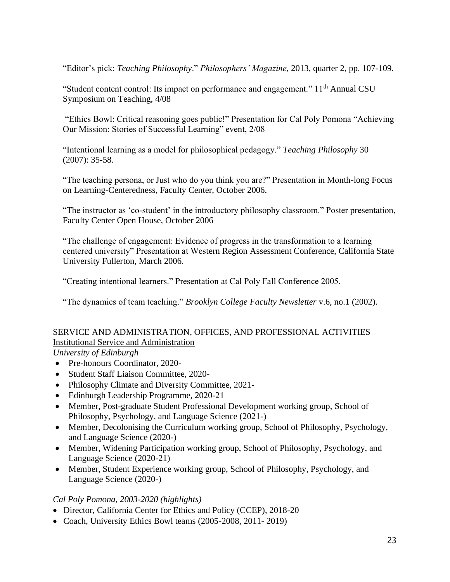"Editor's pick: *Teaching Philosophy*." *Philosophers' Magazine*, 2013, quarter 2, pp. 107-109.

"Student content control: Its impact on performance and engagement." 11<sup>th</sup> Annual CSU Symposium on Teaching, 4/08

"Ethics Bowl: Critical reasoning goes public!" Presentation for Cal Poly Pomona "Achieving Our Mission: Stories of Successful Learning" event, 2/08

"Intentional learning as a model for philosophical pedagogy." *Teaching Philosophy* 30 (2007): 35-58.

"The teaching persona, or Just who do you think you are?" Presentation in Month-long Focus on Learning-Centeredness, Faculty Center, October 2006.

"The instructor as 'co-student' in the introductory philosophy classroom." Poster presentation, Faculty Center Open House, October 2006

"The challenge of engagement: Evidence of progress in the transformation to a learning centered university" Presentation at Western Region Assessment Conference, California State University Fullerton, March 2006.

"Creating intentional learners." Presentation at Cal Poly Fall Conference 2005.

"The dynamics of team teaching." *Brooklyn College Faculty Newsletter* v.6, no.1 (2002).

## SERVICE AND ADMINISTRATION, OFFICES, AND PROFESSIONAL ACTIVITIES Institutional Service and Administration

*University of Edinburgh*

- Pre-honours Coordinator, 2020-
- Student Staff Liaison Committee, 2020-
- Philosophy Climate and Diversity Committee, 2021-
- Edinburgh Leadership Programme, 2020-21
- Member, Post-graduate Student Professional Development working group, School of Philosophy, Psychology, and Language Science (2021-)
- Member, Decolonising the Curriculum working group, School of Philosophy, Psychology, and Language Science (2020-)
- Member, Widening Participation working group, School of Philosophy, Psychology, and Language Science (2020-21)
- Member, Student Experience working group, School of Philosophy, Psychology, and Language Science (2020-)

## *Cal Poly Pomona, 2003-2020 (highlights)*

- Director, California Center for Ethics and Policy (CCEP), 2018-20
- Coach, University Ethics Bowl teams (2005-2008, 2011- 2019)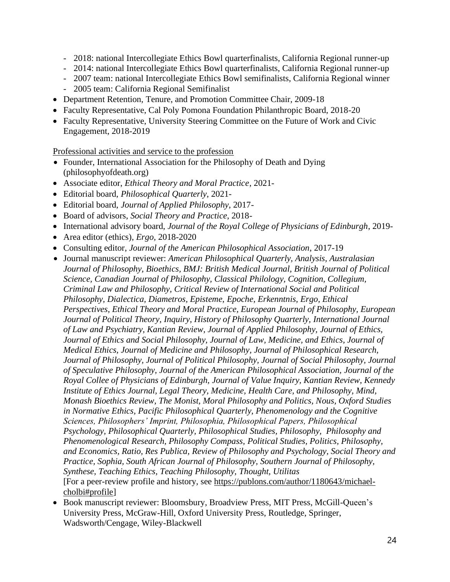- 2018: national Intercollegiate Ethics Bowl quarterfinalists, California Regional runner-up
- 2014: national Intercollegiate Ethics Bowl quarterfinalists, California Regional runner-up
- 2007 team: national Intercollegiate Ethics Bowl semifinalists, California Regional winner
- 2005 team: California Regional Semifinalist
- Department Retention, Tenure, and Promotion Committee Chair, 2009-18
- Faculty Representative, Cal Poly Pomona Foundation Philanthropic Board, 2018-20
- Faculty Representative, University Steering Committee on the Future of Work and Civic Engagement, 2018-2019

Professional activities and service to the profession

- Founder, International Association for the Philosophy of Death and Dying (philosophyofdeath.org)
- Associate editor, *Ethical Theory and Moral Practice*, 2021-
- Editorial board, *Philosophical Quarterly*, 2021-
- Editorial board, *Journal of Applied Philosophy*, 2017-
- Board of advisors, *Social Theory and Practice*, 2018-
- International advisory board, *Journal of the Royal College of Physicians of Edinburgh*, 2019-
- Area editor (ethics), *Ergo,* 2018-2020
- Consulting editor, *Journal of the American Philosophical Association*, 2017-19
- Journal manuscript reviewer: *American Philosophical Quarterly, Analysis, Australasian Journal of Philosophy, Bioethics, BMJ: British Medical Journal, British Journal of Political Science, Canadian Journal of Philosophy, Classical Philology, Cognition, Collegium, Criminal Law and Philosophy, Critical Review of International Social and Political Philosophy, Dialectica, Diametros, Episteme, Epoche, Erkenntnis, Ergo, Ethical Perspectives, Ethical Theory and Moral Practice, European Journal of Philosophy, European Journal of Political Theory, Inquiry, History of Philosophy Quarterly, International Journal of Law and Psychiatry, Kantian Review, Journal of Applied Philosophy, Journal of Ethics, Journal of Ethics and Social Philosophy, Journal of Law, Medicine, and Ethics, Journal of Medical Ethics, Journal of Medicine and Philosophy, Journal of Philosophical Research, Journal of Philosophy, Journal of Political Philosophy, Journal of Social Philosophy, Journal of Speculative Philosophy, Journal of the American Philosophical Association, Journal of the Royal Collee of Physicians of Edinburgh, Journal of Value Inquiry, Kantian Review, Kennedy Institute of Ethics Journal, Legal Theory, Medicine, Health Care, and Philosophy, Mind, Monash Bioethics Review, The Monist, Moral Philosophy and Politics, Nous, Oxford Studies in Normative Ethics, Pacific Philosophical Quarterly, Phenomenology and the Cognitive Sciences, Philosophers' Imprint, Philosophia, Philosophical Papers, Philosophical Psychology, Philosophical Quarterly, Philosophical Studies, Philosophy, Philosophy and Phenomenological Research, Philosophy Compass, Political Studies, Politics, Philosophy, and Economics, Ratio, Res Publica, Review of Philosophy and Psychology, Social Theory and Practice, Sophia, South African Journal of Philosophy, Southern Journal of Philosophy, Synthese, Teaching Ethics, Teaching Philosophy, Thought, Utilitas* [For a peer-review profile and history, see [https://publons.com/author/1180643/michael](https://publons.com/author/1180643/michael-cholbi#profile)[cholbi#profile\]](https://publons.com/author/1180643/michael-cholbi#profile)
- Book manuscript reviewer: Bloomsbury, Broadview Press, MIT Press, McGill-Queen's University Press, McGraw-Hill, Oxford University Press, Routledge, Springer, Wadsworth/Cengage, Wiley-Blackwell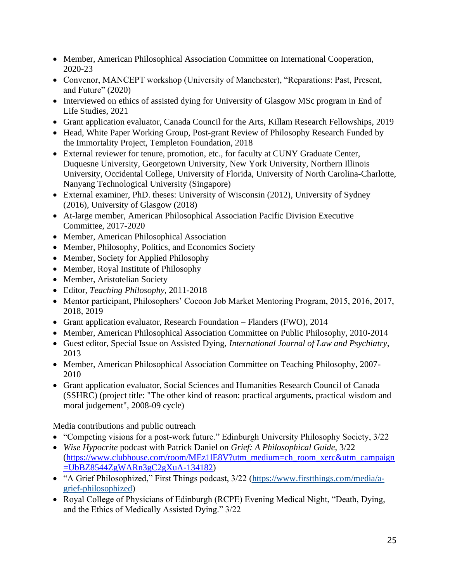- Member, American Philosophical Association Committee on International Cooperation, 2020-23
- Convenor, MANCEPT workshop (University of Manchester), "Reparations: Past, Present, and Future" (2020)
- Interviewed on ethics of assisted dying for University of Glasgow MSc program in End of Life Studies, 2021
- Grant application evaluator, Canada Council for the Arts, Killam Research Fellowships, 2019
- Head, White Paper Working Group, Post-grant Review of Philosophy Research Funded by the Immortality Project, Templeton Foundation, 2018
- External reviewer for tenure, promotion, etc., for faculty at CUNY Graduate Center, Duquesne University, Georgetown University, New York University, Northern Illinois University, Occidental College, University of Florida, University of North Carolina-Charlotte, Nanyang Technological University (Singapore)
- External examiner, PhD. theses: University of Wisconsin (2012), University of Sydney (2016), University of Glasgow (2018)
- At-large member, American Philosophical Association Pacific Division Executive Committee, 2017-2020
- Member, American Philosophical Association
- Member, Philosophy, Politics, and Economics Society
- Member, Society for Applied Philosophy
- Member, Royal Institute of Philosophy
- Member, Aristotelian Society
- Editor, *Teaching Philosophy*, 2011-2018
- Mentor participant, Philosophers' Cocoon Job Market Mentoring Program, 2015, 2016, 2017, 2018, 2019
- Grant application evaluator, Research Foundation Flanders (FWO), 2014
- Member, American Philosophical Association Committee on Public Philosophy, 2010-2014
- Guest editor, Special Issue on Assisted Dying, *International Journal of Law and Psychiatry*, 2013
- Member, American Philosophical Association Committee on Teaching Philosophy, 2007-2010
- Grant application evaluator, Social Sciences and Humanities Research Council of Canada (SSHRC) (project title: "The other kind of reason: practical arguments, practical wisdom and moral judgement", 2008-09 cycle)

Media contributions and public outreach

- "Competing visions for a post-work future." Edinburgh University Philosophy Society, 3/22
- *Wise Hypocrite* podcast with Patrick Daniel on *Grief: A Philosophical Guide*, 3/22 [\(https://www.clubhouse.com/room/MEz1lE8V?utm\\_medium=ch\\_room\\_xerc&utm\\_campaign](https://www.clubhouse.com/room/MEz1lE8V?utm_medium=ch_room_xerc&utm_campaign=UbBZ8544ZgWARn3gC2gXuA-134182) [=UbBZ8544ZgWARn3gC2gXuA-134182\)](https://www.clubhouse.com/room/MEz1lE8V?utm_medium=ch_room_xerc&utm_campaign=UbBZ8544ZgWARn3gC2gXuA-134182)
- "A Grief Philosophized," First Things podcast, 3/22 [\(https://www.firstthings.com/media/a](https://www.firstthings.com/media/a-grief-philosophized)[grief-philosophized\)](https://www.firstthings.com/media/a-grief-philosophized)
- Royal College of Physicians of Edinburgh (RCPE) Evening Medical Night, "Death, Dying, and the Ethics of Medically Assisted Dying." 3/22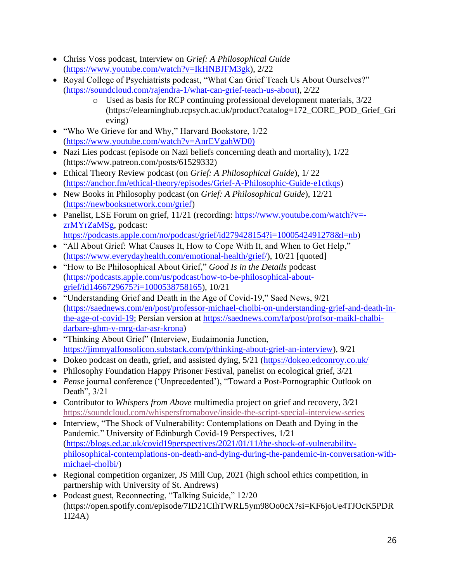- Chriss Voss podcast, Interview on *Grief: A Philosophical Guide* [\(https://www.youtube.com/watch?v=IkHNBJFM3gk\)](https://www.youtube.com/watch?v=IkHNBJFM3gk), 2/22
- Royal College of Psychiatrists podcast, "What Can Grief Teach Us About Ourselves?" [\(https://soundcloud.com/rajendra-1/what-can-grief-teach-us-about\)](https://soundcloud.com/rajendra-1/what-can-grief-teach-us-about), 2/22
	- o Used as basis for RCP continuing professional development materials, 3/22 (https://elearninghub.rcpsych.ac.uk/product?catalog=172\_CORE\_POD\_Grief\_Gri eving)
- "Who We Grieve for and Why," Harvard Bookstore, 1/22 [\(https://www.youtube.com/watch?v=AnrEVgahWD0\)](https://www.youtube.com/watch?v=AnrEVgahWD0))
- Nazi Lies podcast (episode on Nazi beliefs concerning death and mortality),  $1/22$ (https://www.patreon.com/posts/61529332)
- Ethical Theory Review podcast (on *Grief: A Philosophical Guide*), 1/ 22 [\(https://anchor.fm/ethical-theory/episodes/Grief-A-Philosophic-Guide-e1ctkqs\)](https://anchor.fm/ethical-theory/episodes/Grief-A-Philosophic-Guide-e1ctkqs)
- New Books in Philosophy podcast (on *Grief: A Philosophical Guide*), 12/21 [\(https://newbooksnetwork.com/grief\)](https://newbooksnetwork.com/grief)
- Panelist, LSE Forum on grief, 11/21 (recording: [https://www.youtube.com/watch?v=](https://www.youtube.com/watch?v=-zrMYrZaMSg) [zrMYrZaMSg,](https://www.youtube.com/watch?v=-zrMYrZaMSg) podcast: [https://podcasts.apple.com/no/podcast/grief/id279428154?i=1000542491278&l=nb\)](https://podcasts.apple.com/no/podcast/grief/id279428154?i=1000542491278&l=nb)
- "All About Grief: What Causes It, How to Cope With It, and When to Get Help," [\(https://www.everydayhealth.com/emotional-health/grief/\)](https://www.everydayhealth.com/emotional-health/grief/), 10/21 [quoted]
- "How to Be Philosophical About Grief," *Good Is in the Details* podcast [\(https://podcasts.apple.com/us/podcast/how-to-be-philosophical-about](https://podcasts.apple.com/us/podcast/how-to-be-philosophical-about-grief/id1466729675?i=1000538758165)[grief/id1466729675?i=1000538758165\)](https://podcasts.apple.com/us/podcast/how-to-be-philosophical-about-grief/id1466729675?i=1000538758165), 10/21
- "Understanding Grief and Death in the Age of Covid-19," Saed News, 9/21 [\(https://saednews.com/en/post/professor-michael-cholbi-on-understanding-grief-and-death-in](https://saednews.com/en/post/professor-michael-cholbi-on-understanding-grief-and-death-in-the-age-of-covid-19)[the-age-of-covid-19;](https://saednews.com/en/post/professor-michael-cholbi-on-understanding-grief-and-death-in-the-age-of-covid-19) Persian version at [https://saednews.com/fa/post/profsor-maikl-chalbi](https://saednews.com/fa/post/profsor-maikl-chalbi-darbare-ghm-v-mrg-dar-asr-krona)[darbare-ghm-v-mrg-dar-asr-krona\)](https://saednews.com/fa/post/profsor-maikl-chalbi-darbare-ghm-v-mrg-dar-asr-krona)
- "Thinking About Grief" (Interview, Eudaimonia Junction, [https://jimmyalfonsolicon.substack.com/p/thinking-about-grief-an-interview\)](https://jimmyalfonsolicon.substack.com/p/thinking-about-grief-an-interview), 9/21
- Dokeo podcast on death, grief, and assisted dying, 5/21 [\(https://dokeo.edconroy.co.uk/](https://dokeo.edconroy.co.uk/)
- Philosophy Foundation Happy Prisoner Festival, panelist on ecological grief, 3/21
- *Pense* journal conference ('Unprecedented'), "Toward a Post-Pornographic Outlook on Death", 3/21
- Contributor to *Whispers from Above* multimedia project on grief and recovery, 3/21 <https://soundcloud.com/whispersfromabove/inside-the-script-special-interview-series>
- Interview, "The Shock of Vulnerability: Contemplations on Death and Dying in the Pandemic." University of Edinburgh Covid-19 Perspectives, 1/21 [\(https://blogs.ed.ac.uk/covid19perspectives/2021/01/11/the-shock-of-vulnerability](https://blogs.ed.ac.uk/covid19perspectives/2021/01/11/the-shock-of-vulnerability-philosophical-contemplations-on-death-and-dying-during-the-pandemic-in-conversation-with-michael-cholbi/)[philosophical-contemplations-on-death-and-dying-during-the-pandemic-in-conversation-with](https://blogs.ed.ac.uk/covid19perspectives/2021/01/11/the-shock-of-vulnerability-philosophical-contemplations-on-death-and-dying-during-the-pandemic-in-conversation-with-michael-cholbi/)[michael-cholbi/\)](https://blogs.ed.ac.uk/covid19perspectives/2021/01/11/the-shock-of-vulnerability-philosophical-contemplations-on-death-and-dying-during-the-pandemic-in-conversation-with-michael-cholbi/)
- Regional competition organizer, JS Mill Cup, 2021 (high school ethics competition, in partnership with University of St. Andrews)
- Podcast guest, Reconnecting, "Talking Suicide," 12/20 (https://open.spotify.com/episode/7ID21CIhTWRL5ym98Oo0cX?si=KF6joUe4TJOcK5PDR 1I24A)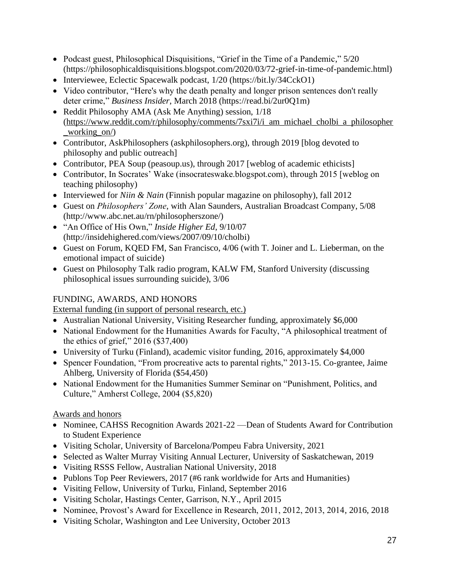- Podcast guest, Philosophical Disquisitions, "Grief in the Time of a Pandemic," 5/20 (https://philosophicaldisquisitions.blogspot.com/2020/03/72-grief-in-time-of-pandemic.html)
- Interviewee, Eclectic Spacewalk podcast, 1/20 (https://bit.ly/34CckO1)
- Video contributor, "Here's why the death penalty and longer prison sentences don't really deter crime," *Business Insider*, March 2018 (https://read.bi/2ur0Q1m)
- Reddit Philosophy AMA (Ask Me Anything) session, 1/18 [\(https://www.reddit.com/r/philosophy/comments/7sxi7i/i\\_am\\_michael\\_cholbi\\_a\\_philosopher](https://www.reddit.com/r/philosophy/comments/7sxi7i/i_am_michael_cholbi_a_philosopher_working_on/) [\\_working\\_on/\)](https://www.reddit.com/r/philosophy/comments/7sxi7i/i_am_michael_cholbi_a_philosopher_working_on/)
- Contributor, AskPhilosophers (askphilosophers.org), through 2019 [blog devoted to philosophy and public outreach]
- Contributor, PEA Soup (peasoup.us), through 2017 [weblog of academic ethicists]
- Contributor, In Socrates' Wake (insocrateswake.blogspot.com), through 2015 [weblog on teaching philosophy)
- Interviewed for *Niin & Nain* (Finnish popular magazine on philosophy), fall 2012
- Guest on *Philosophers' Zone*, with Alan Saunders, Australian Broadcast Company, 5/08 (http://www.abc.net.au/rn/philosopherszone/)
- "An Office of His Own," *Inside Higher Ed*, 9/10/07 (http://insidehighered.com/views/2007/09/10/cholbi)
- Guest on Forum, KQED FM, San Francisco, 4/06 (with T. Joiner and L. Lieberman, on the emotional impact of suicide)
- Guest on Philosophy Talk radio program, KALW FM, Stanford University (discussing philosophical issues surrounding suicide), 3/06

## FUNDING, AWARDS, AND HONORS

External funding (in support of personal research, etc.)

- Australian National University, Visiting Researcher funding, approximately \$6,000
- National Endowment for the Humanities Awards for Faculty, "A philosophical treatment of the ethics of grief," 2016 (\$37,400)
- University of Turku (Finland), academic visitor funding, 2016, approximately \$4,000
- Spencer Foundation, "From procreative acts to parental rights," 2013-15. Co-grantee, Jaime Ahlberg, University of Florida (\$54,450)
- National Endowment for the Humanities Summer Seminar on "Punishment, Politics, and Culture," Amherst College, 2004 (\$5,820)

## Awards and honors

- Nominee, CAHSS Recognition Awards 2021-22 Dean of Students Award for Contribution to Student Experience
- Visiting Scholar, University of Barcelona/Pompeu Fabra University, 2021
- Selected as Walter Murray Visiting Annual Lecturer, University of Saskatchewan, 2019
- Visiting RSSS Fellow, Australian National University, 2018
- Publons Top Peer Reviewers, 2017 (#6 rank worldwide for Arts and Humanities)
- Visiting Fellow, University of Turku, Finland, September 2016
- Visiting Scholar, Hastings Center, Garrison, N.Y., April 2015
- Nominee, Provost's Award for Excellence in Research, 2011, 2012, 2013, 2014, 2016, 2018
- Visiting Scholar, Washington and Lee University, October 2013